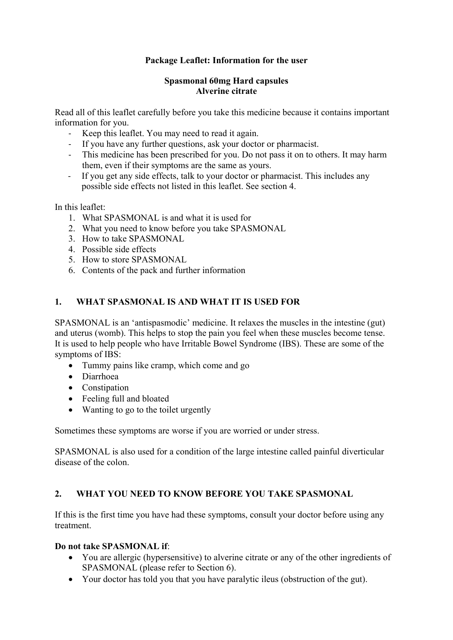# **Package Leaflet: Information for the user**

#### **Spasmonal 60mg Hard capsules Alverine citrate**

Read all of this leaflet carefully before you take this medicine because it contains important information for you.

- ‐ Keep this leaflet. You may need to read it again.
- ‐ If you have any further questions, ask your doctor or pharmacist.
- ‐ This medicine has been prescribed for you. Do not pass it on to others. It may harm them, even if their symptoms are the same as yours.
- ‐ If you get any side effects, talk to your doctor or pharmacist. This includes any possible side effects not listed in this leaflet. See section 4.

In this leaflet:

- 1. What SPASMONAL is and what it is used for
- 2. What you need to know before you take SPASMONAL
- 3. How to take SPASMONAL
- 4. Possible side effects
- 5. How to store SPASMONAL
- 6. Contents of the pack and further information

# **1. WHAT SPASMONAL IS AND WHAT IT IS USED FOR**

SPASMONAL is an 'antispasmodic' medicine. It relaxes the muscles in the intestine (gut) and uterus (womb). This helps to stop the pain you feel when these muscles become tense. It is used to help people who have Irritable Bowel Syndrome (IBS). These are some of the symptoms of IBS:

- Tummy pains like cramp, which come and go
- Diarrhoea
- Constipation
- Feeling full and bloated
- Wanting to go to the toilet urgently

Sometimes these symptoms are worse if you are worried or under stress.

SPASMONAL is also used for a condition of the large intestine called painful diverticular disease of the colon.

## **2. WHAT YOU NEED TO KNOW BEFORE YOU TAKE SPASMONAL**

If this is the first time you have had these symptoms, consult your doctor before using any treatment.

#### **Do not take SPASMONAL if**:

- You are allergic (hypersensitive) to alverine citrate or any of the other ingredients of SPASMONAL (please refer to Section 6).
- Your doctor has told you that you have paralytic ileus (obstruction of the gut).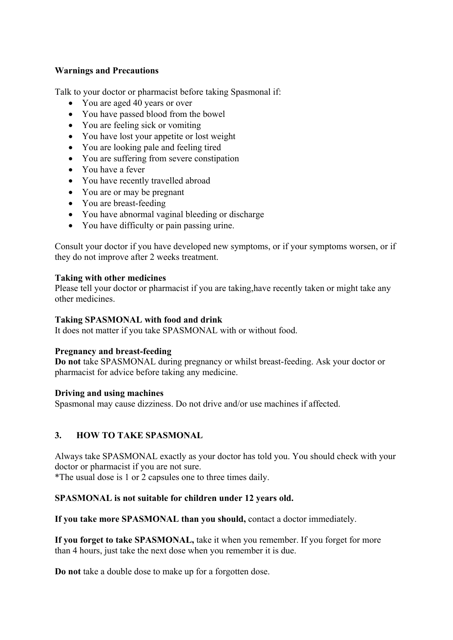### **Warnings and Precautions**

Talk to your doctor or pharmacist before taking Spasmonal if:

- You are aged 40 years or over
- You have passed blood from the bowel
- You are feeling sick or vomiting
- You have lost your appetite or lost weight
- You are looking pale and feeling tired
- You are suffering from severe constipation
- You have a fever
- You have recently travelled abroad
- You are or may be pregnant
- You are breast-feeding
- You have abnormal vaginal bleeding or discharge
- You have difficulty or pain passing urine.

Consult your doctor if you have developed new symptoms, or if your symptoms worsen, or if they do not improve after 2 weeks treatment.

### **Taking with other medicines**

Please tell your doctor or pharmacist if you are taking,have recently taken or might take any other medicines.

### **Taking SPASMONAL with food and drink**

It does not matter if you take SPASMONAL with or without food.

## **Pregnancy and breast-feeding**

**Do not** take SPASMONAL during pregnancy or whilst breast-feeding. Ask your doctor or pharmacist for advice before taking any medicine.

#### **Driving and using machines**

Spasmonal may cause dizziness. Do not drive and/or use machines if affected.

# **3. HOW TO TAKE SPASMONAL**

Always take SPASMONAL exactly as your doctor has told you. You should check with your doctor or pharmacist if you are not sure.

\*The usual dose is 1 or 2 capsules one to three times daily.

## **SPASMONAL is not suitable for children under 12 years old.**

**If you take more SPASMONAL than you should,** contact a doctor immediately.

**If you forget to take SPASMONAL,** take it when you remember. If you forget for more than 4 hours, just take the next dose when you remember it is due.

**Do not** take a double dose to make up for a forgotten dose.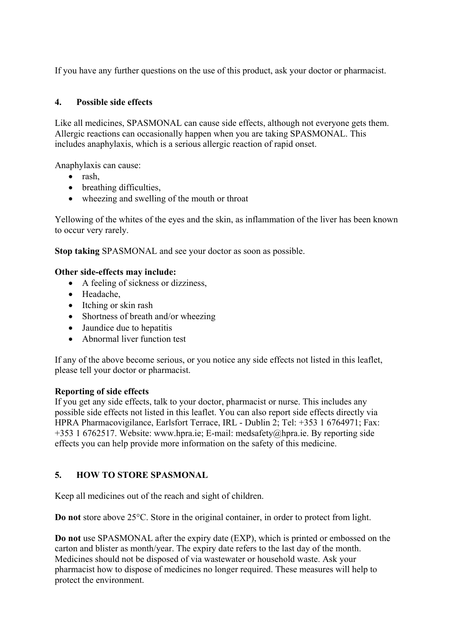If you have any further questions on the use of this product, ask your doctor or pharmacist.

## **4. Possible side effects**

Like all medicines, SPASMONAL can cause side effects, although not everyone gets them. Allergic reactions can occasionally happen when you are taking SPASMONAL. This includes anaphylaxis, which is a serious allergic reaction of rapid onset.

Anaphylaxis can cause:

- rash,
- breathing difficulties,
- wheezing and swelling of the mouth or throat

Yellowing of the whites of the eyes and the skin, as inflammation of the liver has been known to occur very rarely.

**Stop taking** SPASMONAL and see your doctor as soon as possible.

### **Other side-effects may include:**

- A feeling of sickness or dizziness,
- Headache,
- Itching or skin rash
- Shortness of breath and/or wheezing
- Jaundice due to hepatitis
- Abnormal liver function test

If any of the above become serious, or you notice any side effects not listed in this leaflet, please tell your doctor or pharmacist.

## **Reporting of side effects**

If you get any side effects, talk to your doctor, pharmacist or nurse. This includes any possible side effects not listed in this leaflet. You can also report side effects directly via HPRA Pharmacovigilance, Earlsfort Terrace, IRL - Dublin 2; Tel: +353 1 6764971; Fax: +353 1 6762517. Website: www.hpra.ie; E-mail: medsafety@hpra.ie. By reporting side effects you can help provide more information on the safety of this medicine.

# **5. HOW TO STORE SPASMONAL**

Keep all medicines out of the reach and sight of children.

**Do not** store above 25°C. Store in the original container, in order to protect from light.

**Do not** use SPASMONAL after the expiry date (EXP), which is printed or embossed on the carton and blister as month/year. The expiry date refers to the last day of the month. Medicines should not be disposed of via wastewater or household waste. Ask your pharmacist how to dispose of medicines no longer required. These measures will help to protect the environment.